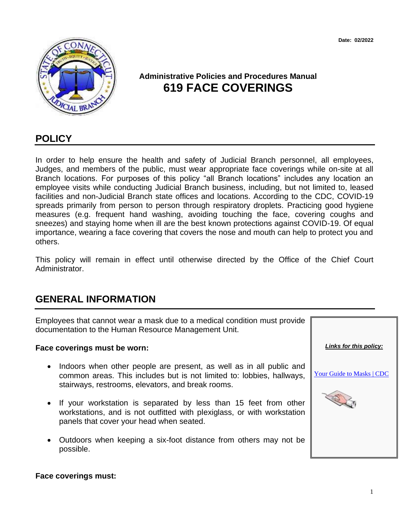**Date: 02/2022**



# **Administrative Policies and Procedures Manual 619 FACE COVERINGS**

### **POLICY**

In order to help ensure the health and safety of Judicial Branch personnel, all employees, Judges, and members of the public, must wear appropriate face coverings while on-site at all Branch locations. For purposes of this policy "all Branch locations" includes any location an employee visits while conducting Judicial Branch business, including, but not limited to, leased facilities and non-Judicial Branch state offices and locations. According to the CDC, COVID-19 spreads primarily from person to person through respiratory droplets. Practicing good hygiene measures (e.g. frequent hand washing, avoiding touching the face, covering coughs and sneezes) and staying home when ill are the best known protections against COVID-19. Of equal importance, wearing a face covering that covers the nose and mouth can help to protect you and others.

This policy will remain in effect until otherwise directed by the Office of the Chief Court Administrator.

## **GENERAL INFORMATION**

Employees that cannot wear a mask due to a medical condition must provide documentation to the Human Resource Management Unit.

#### **Face coverings must be worn:**

- Indoors when other people are present, as well as in all public and common areas. This includes but is not limited to: lobbies, hallways, stairways, restrooms, elevators, and break rooms.
- If your workstation is separated by less than 15 feet from other workstations, and is not outfitted with plexiglass, or with workstation panels that cover your head when seated.
- Outdoors when keeping a six-foot distance from others may not be possible.



#### **Face coverings must:**